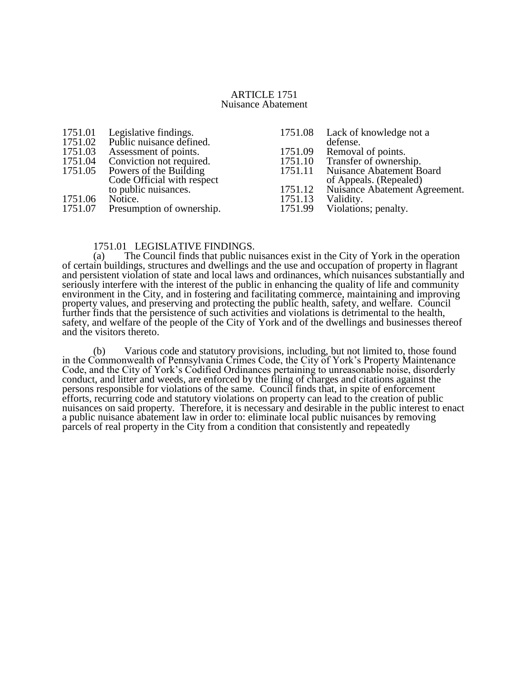#### ARTICLE 1751 Nuisance Abatement

| 1751.01 | Legislative findings.<br>Public nuisance defined. | 1751.08 | Lack of knowledge not a       |
|---------|---------------------------------------------------|---------|-------------------------------|
| 1751.02 |                                                   |         | defense.                      |
| 1751.03 | Assessment of points.                             | 1751.09 | Removal of points.            |
| 1751.04 | Conviction not required.                          | 1751.10 | Transfer of ownership.        |
| 1751.05 | Powers of the Building                            | 1751.11 | Nuisance Abatement Board      |
|         | Code Official with respect                        |         | of Appeals. (Repealed)        |
|         | to public nuisances.                              | 1751.12 | Nuisance Abatement Agreement. |
| 1751.06 | Notice.                                           | 1751.13 | Validity.                     |
| 1751.07 | Presumption of ownership.                         | 1751.99 | Violations; penalty.          |
|         |                                                   |         |                               |

# 1751.01 LEGISLATIVE FINDINGS.<br>(a) The Council finds that public nu

The Council finds that public nuisances exist in the City of York in the operation of certain buildings, structures and dwellings and the use and occupation of property in flagrant and persistent violation of state and local laws and ordinances, which nuisances substantially and seriously interfere with the interest of the public in enhancing the quality of life and community environment in the City, and in fostering and facilitating commerce, maintaining and improving property values, and preserving and protecting the public health, safety, and welfare. Council further finds that the persistence of such activities and violations is detrimental to the health, safety, and welfare of the people of the City of York and of the dwellings and businesses thereof and the visitors thereto.

(b) Various code and statutory provisions, including, but not limited to, those found in the Commonwealth of Pennsylvania Crimes Code, the City of York's Property Maintenance Code, and the City of York's Codified Ordinances pertaining to unreasonable noise, disorderly conduct, and litter and weeds, are enforced by the filing of charges and citations against the persons responsible for violations of the same. Council finds that, in spite of enforcement efforts, recurring code and statutory violations on property can lead to the creation of public nuisances on said property. Therefore, it is necessary and desirable in the public interest to enact a public nuisance abatement law in order to: eliminate local public nuisances by removing parcels of real property in the City from a condition that consistently and repeatedly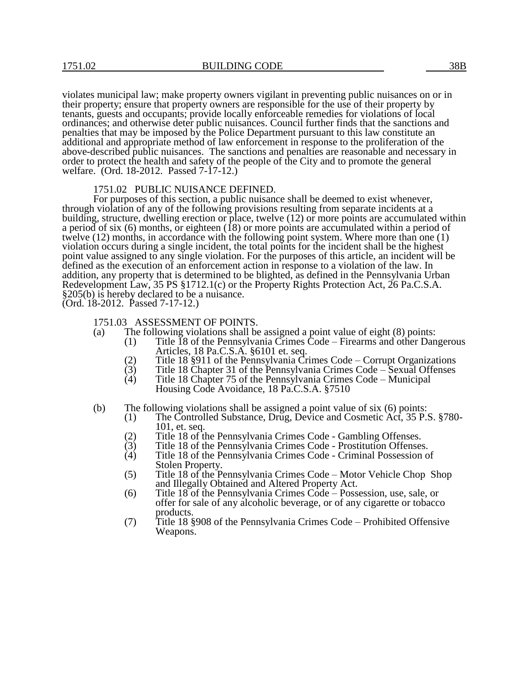violates municipal law; make property owners vigilant in preventing public nuisances on or in their property; ensure that property owners are responsible for the use of their property by tenants, guests and occupants; provide locally enforceable remedies for violations of local ordinances; and otherwise deter public nuisances. Council further finds that the sanctions and penalties that may be imposed by the Police Department pursuant to this law constitute an additional and appropriate method of law enforcement in response to the proliferation of the above-described public nuisances. The sanctions and penalties are reasonable and necessary in order to protect the health and safety of the people of the City and to promote the general welfare. (Ord. 18-2012. Passed 7-17-12.)

### 1751.02 PUBLIC NUISANCE DEFINED.

For purposes of this section, a public nuisance shall be deemed to exist whenever, through violation of any of the following provisions resulting from separate incidents at a building, structure, dwelling erection or place, twelve (12) or more points are accumulated within a period of six (6) months, or eighteen (18) or more points are accumulated within a period of twelve (12) months, in accordance with the following point system. Where more than one (1) violation occurs during a single incident, the total points for the incident shall be the highest point value assigned to any single violation. For the purposes of this article, an incident will be defined as the execution of an enforcement action in response to a violation of the law. In addition, any property that is determined to be blighted, as defined in the Pennsylvania Urban Redevelopment Law, 35 PS §1712.1(c) or the Property Rights Protection Act, 26 Pa.C.S.A. §205(b) is hereby declared to be a nuisance.

(Ord. 18-2012. Passed 7-17-12.)

## 1751.03 ASSESSMENT OF POINTS.

- (a) The following violations shall be assigned a point value of eight (8) points:
	- (1) Title 18 of the Pennsylvania Crimes Code Firearms and other Dangerous Articles, 18 Pa.C.S.A. §6101 et. seq.
	- (2) Title 18 §911 of the Pennsylvania Crimes Code Corrupt Organizations
	- (3) Title 18 Chapter 31 of the Pennsylvania Crimes Code Sexual Offenses<br>
	(4) Title 18 Chapter 75 of the Pennsylvania Crimes Code Municipal
	- (4) Title 18 Chapter 75 of the Pennsylvania Crimes Code Municipal Housing Code Avoidance, 18 Pa.C.S.A. §7510
- (b) The following violations shall be assigned a point value of six (6) points:
	- (1) The Controlled Substance, Drug, Device and Cosmetic Act, 35 P.S. §780- 101, et. seq.
	- (2) Title 18 of the Pennsylvania Crimes Code Gambling Offenses.
	- (3) Title 18 of the Pennsylvania Crimes Code Prostitution Offenses.<br>
	(4) Title 18 of the Pennsylvania Crimes Code Criminal Possession of
	- (4) Title 18 of the Pennsylvania Crimes Code Criminal Possession of Stolen Property.
	- (5) Title 18 of the Pennsylvania Crimes Code Motor Vehicle Chop Shop and Illegally Obtained and Altered Property Act.
	- (6) Title 18 of the Pennsylvania Crimes Code Possession, use, sale, or offer for sale of any alcoholic beverage, or of any cigarette or tobacco products.
	- (7) Title 18 §908 of the Pennsylvania Crimes Code Prohibited Offensive Weapons.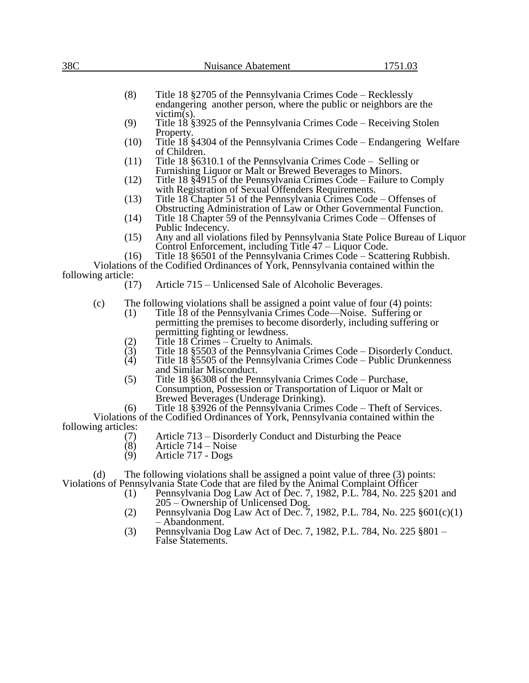| 38C                 |                                                                                            | Nuisance Abatement                                                                                                                                                                                                                              | 1751.03 |  |
|---------------------|--------------------------------------------------------------------------------------------|-------------------------------------------------------------------------------------------------------------------------------------------------------------------------------------------------------------------------------------------------|---------|--|
|                     |                                                                                            |                                                                                                                                                                                                                                                 |         |  |
|                     | (8)                                                                                        | Title 18 §2705 of the Pennsylvania Crimes Code – Recklessly<br>endangering another person, where the public or neighbors are the                                                                                                                |         |  |
|                     | $victim(s)$ .<br>(9)<br>Title 18 § 3925 of the Pennsylvania Crimes Code – Receiving Stolen |                                                                                                                                                                                                                                                 |         |  |
|                     | (10)                                                                                       | Property.<br>Title 18 §4304 of the Pennsylvania Crimes Code – Endangering Welfare<br>of Children.                                                                                                                                               |         |  |
|                     | (11)                                                                                       | Title 18 § 6310.1 of the Pennsylvania Crimes Code – Selling or<br>Furnishing Liquor or Malt or Brewed Beverages to Minors.                                                                                                                      |         |  |
|                     | (12)                                                                                       | Title 18 §4915 of the Pennsylvania Crimes Code – Failure to Comply<br>with Registration of Sexual Offenders Requirements.                                                                                                                       |         |  |
|                     | (13)                                                                                       | Title 18 Chapter 51 of the Pennsylvania Crimes Code – Offenses of<br>Obstructing Administration of Law or Other Governmental Function.                                                                                                          |         |  |
|                     | (14)                                                                                       | Title 18 Chapter 59 of the Pennsylvania Crimes Code – Offenses of                                                                                                                                                                               |         |  |
|                     | (15)                                                                                       | Public Indecency.<br>Any and all violations filed by Pennsylvania State Police Bureau of Liquor<br>Control Enforcement, including Title 47 – Liquor Code.                                                                                       |         |  |
|                     | (16)                                                                                       | Title 18 §6501 of the Pennsylvania Crimes Code – Scattering Rubbish.                                                                                                                                                                            |         |  |
| following article:  |                                                                                            | Violations of the Codified Ordinances of York, Pennsylvania contained within the                                                                                                                                                                |         |  |
|                     | (17)                                                                                       | Article 715 – Unlicensed Sale of Alcoholic Beverages.                                                                                                                                                                                           |         |  |
| (c)                 | (1)                                                                                        | The following violations shall be assigned a point value of four $(4)$ points:<br>Title 18 of the Pennsylvania Crimes Code—Noise. Suffering or<br>permitting the premises to become disorderly, including suffering or                          |         |  |
|                     |                                                                                            | permitting fighting or lewdness.<br>Title 18 Crimes – Cruelty to Animals.                                                                                                                                                                       |         |  |
|                     | $\binom{2}{3}$<br>(4)                                                                      | Title 18 § 5503 of the Pennsylvania Crimes Code – Disorderly Conduct.<br>Title 18 §5505 of the Pennsylvania Crimes Code – Public Drunkenness                                                                                                    |         |  |
|                     | (5)                                                                                        | and Similar Misconduct.<br>Title 18 §6308 of the Pennsylvania Crimes Code – Purchase,                                                                                                                                                           |         |  |
|                     |                                                                                            | Consumption, Possession or Transportation of Liquor or Malt or<br>Brewed Beverages (Underage Drinking).                                                                                                                                         |         |  |
|                     | (6)                                                                                        | Title 18 § 3926 of the Pennsylvania Crimes Code – Theft of Services.                                                                                                                                                                            |         |  |
| following articles: |                                                                                            | Violations of the Codified Ordinances of York, Pennsylvania contained within the                                                                                                                                                                |         |  |
|                     | (7)<br>(8)                                                                                 | Article 713 – Disorderly Conduct and Disturbing the Peace<br>Article 714 – Noise                                                                                                                                                                |         |  |
|                     | (9)                                                                                        | Article 717 - Dogs                                                                                                                                                                                                                              |         |  |
| (d)                 | (1)                                                                                        | The following violations shall be assigned a point value of three $(3)$ points:<br>Violations of Pennsylvania State Code that are filed by the Animal Complaint Officer<br>Pennsylvania Dog Law Act of Dec. 7, 1982, P.L. 784, No. 225 §201 and |         |  |
|                     | (2)                                                                                        | 205 – Ownership of Unlicensed Dog.<br>Pennsylvania Dog Law Act of Dec. 7, 1982, P.L. 784, No. 225 §601(c)(1)                                                                                                                                    |         |  |
|                     | (3)                                                                                        | - Abandonment.<br>Pennsylvania Dog Law Act of Dec. 7, 1982, P.L. 784, No. 225 §801 -<br><b>False Statements.</b>                                                                                                                                |         |  |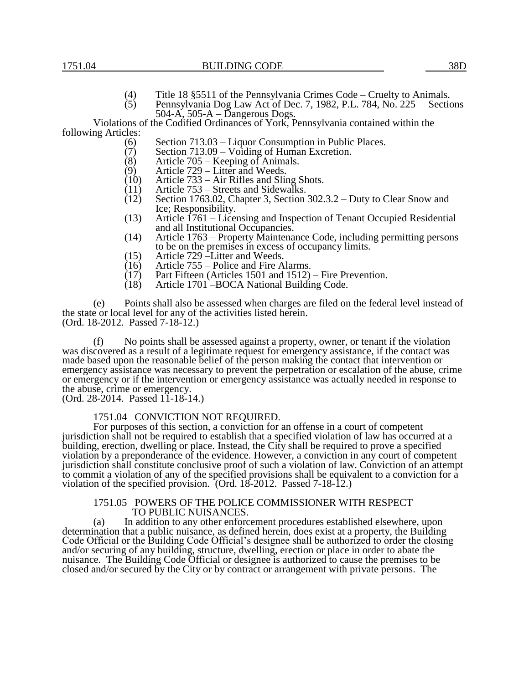- (4) Title 18 §5511 of the Pennsylvania Crimes Code Cruelty to Animals.
- $(5)$  Pennsylvania Dog Law Act of Dec. 7, 1982, P.L. 784, No. 225 Sections 504-A, 505-A – Dangerous Dogs.

Violations of the Codified Ordinances of York, Pennsylvania contained within the following Articles:

- (6) Section 713.03 Liquor Consumption in Public Places.<br>(7) Section 713.09 Voiding of Human Excretion.
- $\hat{7}$  Section 713.09 Voiding of Human Excretion.<br>(8) Article 705 Keeping of Animals.
- (8) Article 705 Keeping of Animals.<br>(9) Article 729 Litter and Weeds.
- $(9)$  Article 729 Litter and Weeds.<br>(10) Article 733 Air Rifles and Slin
- (10) Article 733 Air Rifles and Sling Shots.<br>(11) Article 753 Streets and Sidewalks.
- 
- $(11)$  Article 753 Streets and Sidewalks.<br>  $(12)$  Section 1763.02, Chapter 3, Section Section 1763.02, Chapter 3, Section 302.3.2 – Duty to Clear Snow and Ice; Responsibility.
- (13) Article 1761 Licensing and Inspection of Tenant Occupied Residential and all Institutional Occupancies.
- (14) Article 1763 Property Maintenance Code, including permitting persons to be on the premises in excess of occupancy limits.
- (15) Article 729 –Litter and Weeds.<br>(16) Article 755 Police and Fire A
- $(16)$  Article 755 Police and Fire Alarms.<br>(17) Part Fifteen (Articles 1501 and 1512)
- $(17)$  Part Fifteen (Articles 1501 and 1512) Fire Prevention.<br>(18) Article 1701 BOCA National Building Code.
- Article 1701 BOCA National Building Code.

(e) Points shall also be assessed when charges are filed on the federal level instead of the state or local level for any of the activities listed herein. (Ord. 18-2012. Passed 7-18-12.)

(f) No points shall be assessed against a property, owner, or tenant if the violation was discovered as a result of a legitimate request for emergency assistance, if the contact was made based upon the reasonable belief of the person making the contact that intervention or emergency assistance was necessary to prevent the perpetration or escalation of the abuse, crime or emergency or if the intervention or emergency assistance was actually needed in response to the abuse, crime or emergency.

(Ord. 28-2014. Passed 11-18-14.)

## 1751.04 CONVICTION NOT REQUIRED.

For purposes of this section, a conviction for an offense in a court of competent jurisdiction shall not be required to establish that a specified violation of law has occurred at a building, erection, dwelling or place. Instead, the City shall be required to prove a specified violation by a preponderance of the evidence. However, a conviction in any court of competent jurisdiction shall constitute conclusive proof of such a violation of law. Conviction of an attempt to commit a violation of any of the specified provisions shall be equivalent to a conviction for a violation of the specified provision. (Ord. 18-2012. Passed 7-18-12.)

#### 1751.05 POWERS OF THE POLICE COMMISSIONER WITH RESPECT TO PUBLIC NUISANCES.

(a) In addition to any other enforcement procedures established elsewhere, upon determination that a public nuisance, as defined herein, does exist at a property, the Building Code Official or the Building Code Official's designee shall be authorized to order the closing and/or securing of any building, structure, dwelling, erection or place in order to abate the nuisance. The Building Code Official or designee is authorized to cause the premises to be closed and/or secured by the City or by contract or arrangement with private persons. The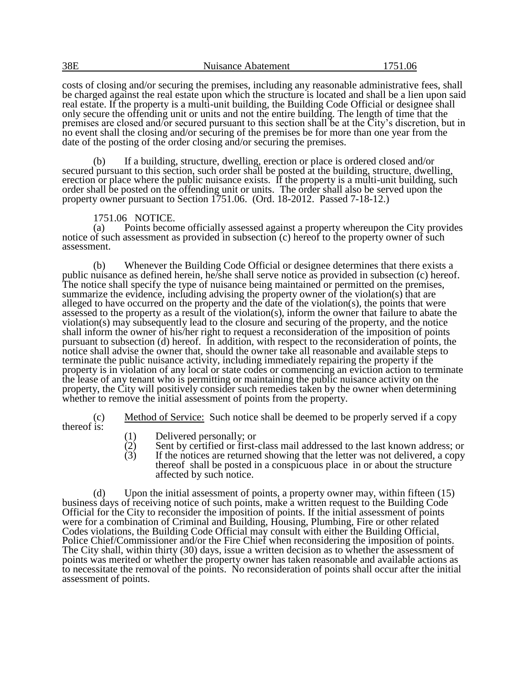| 38E | Nuisance Abatement | 1751.06 |
|-----|--------------------|---------|
|     |                    |         |

costs of closing and/or securing the premises, including any reasonable administrative fees, shall be charged against the real estate upon which the structure is located and shall be a lien upon said real estate. If the property is a multi-unit building, the Building Code Official or designee shall only secure the offending unit or units and not the entire building. The length of time that the premises are closed and/or secured pursuant to this section shall be at the City's discretion, but in no event shall the closing and/or securing of the premises be for more than one year from the date of the posting of the order closing and/or securing the premises.

If a building, structure, dwelling, erection or place is ordered closed and/or secured pursuant to this section, such order shall be posted at the building, structure, dwelling, erection or place where the public nuisance exists. If the property is a multi-unit building, such order shall be posted on the offending unit or units. The order shall also be served upon the property owner pursuant to Section 1751.06. (Ord. 18-2012. Passed 7-18-12.)

## 1751.06 NOTICE.

(a) Points become officially assessed against a property whereupon the City provides notice of such assessment as provided in subsection (c) hereof to the property owner of such assessment.

(b) Whenever the Building Code Official or designee determines that there exists a public nuisance as defined herein, he/she shall serve notice as provided in subsection (c) hereof. The notice shall specify the type of nuisance being maintained or permitted on the premises, summarize the evidence, including advising the property owner of the violation(s) that are alleged to have occurred on the property and the date of the violation(s), the points that were assessed to the property as a result of the violation(s), inform the owner that failure to abate the violation(s) may subsequently lead to the closure and securing of the property, and the notice shall inform the owner of his/her right to request a reconsideration of the imposition of points pursuant to subsection (d) hereof. In addition, with respect to the reconsideration of points, the notice shall advise the owner that, should the owner take all reasonable and available steps to terminate the public nuisance activity, including immediately repairing the property if the property is in violation of any local or state codes or commencing an eviction action to terminate the lease of any tenant who is permitting or maintaining the public nuisance activity on the property, the City will positively consider such remedies taken by the owner when determining whether to remove the initial assessment of points from the property.

(c) Method of Service: Such notice shall be deemed to be properly served if a copy thereof is:

- 
- (1) Delivered personally; or<br>
(2) Sent by certified or first-<br>
(3) If the notices are returned  $(2)$  Sent by certified or first-class mail addressed to the last known address; or
- $(3)$  If the notices are returned showing that the letter was not delivered, a copy thereof shall be posted in a conspicuous place in or about the structure affected by such notice.

(d) Upon the initial assessment of points, a property owner may, within fifteen (15) business days of receiving notice of such points, make a written request to the Building Code Official for the City to reconsider the imposition of points. If the initial assessment of points were for a combination of Criminal and Building, Housing, Plumbing, Fire or other related Codes violations, the Building Code Official may consult with either the Building Official, Police Chief/Commissioner and/or the Fire Chief when reconsidering the imposition of points. The City shall, within thirty (30) days, issue a written decision as to whether the assessment of points was merited or whether the property owner has taken reasonable and available actions as to necessitate the removal of the points. No reconsideration of points shall occur after the initial assessment of points.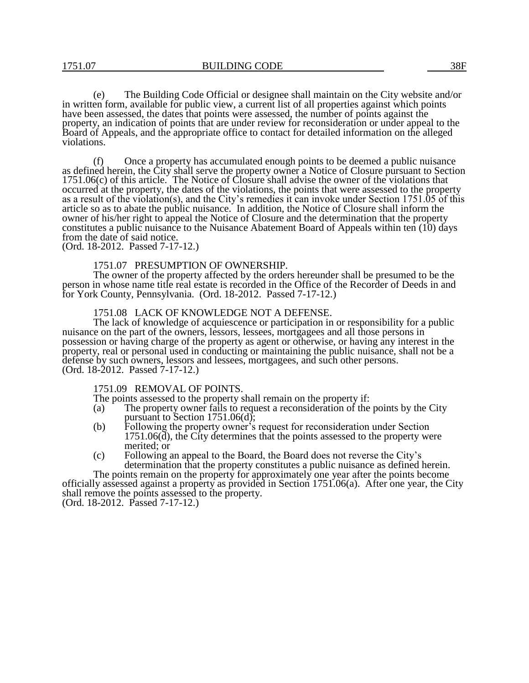(e) The Building Code Official or designee shall maintain on the City website and/or in written form, available for public view, a current list of all properties against which points have been assessed, the dates that points were assessed, the number of points against the property, an indication of points that are under review for reconsideration or under appeal to the Board of Appeals, and the appropriate office to contact for detailed information on the alleged violations.

(f) Once a property has accumulated enough points to be deemed a public nuisance as defined herein, the City shall serve the property owner a Notice of Closure pursuant to Section 1751.06(c) of this article. The Notice of Closure shall advise the owner of the violations that occurred at the property, the dates of the violations, the points that were assessed to the property as a result of the violation(s), and the City's remedies it can invoke under Section 1751.05 of this article so as to abate the public nuisance. In addition, the Notice of Closure shall inform the owner of his/her right to appeal the Notice of Closure and the determination that the property constitutes a public nuisance to the Nuisance Abatement Board of Appeals within ten (10) days from the date of said notice.

(Ord. 18-2012. Passed 7-17-12.)

#### 1751.07 PRESUMPTION OF OWNERSHIP.

The owner of the property affected by the orders hereunder shall be presumed to be the person in whose name title real estate is recorded in the Office of the Recorder of Deeds in and for York County, Pennsylvania. (Ord. 18-2012. Passed 7-17-12.)

#### 1751.08 LACK OF KNOWLEDGE NOT A DEFENSE.

The lack of knowledge of acquiescence or participation in or responsibility for a public nuisance on the part of the owners, lessors, lessees, mortgagees and all those persons in possession or having charge of the property as agent or otherwise, or having any interest in the property, real or personal used in conducting or maintaining the public nuisance, shall not be a defense by such owners, lessors and lessees, mortgagees, and such other persons. (Ord. 18-2012. Passed 7-17-12.)

### 1751.09 REMOVAL OF POINTS.

The points assessed to the property shall remain on the property if:

- (a) The property owner fails to request a reconsideration of the points by the City pursuant to Section 1751.06(d);
- (b) Following the property owner's request for reconsideration under Section 1751.06(d), the City determines that the points assessed to the property were merited; or
- (c) Following an appeal to the Board, the Board does not reverse the City's determination that the property constitutes a public nuisance as defined herein.

The points remain on the property for approximately one year after the points become officially assessed against a property as provided in Section 1751.06(a). After one year, the City shall remove the points assessed to the property. (Ord. 18-2012. Passed 7-17-12.)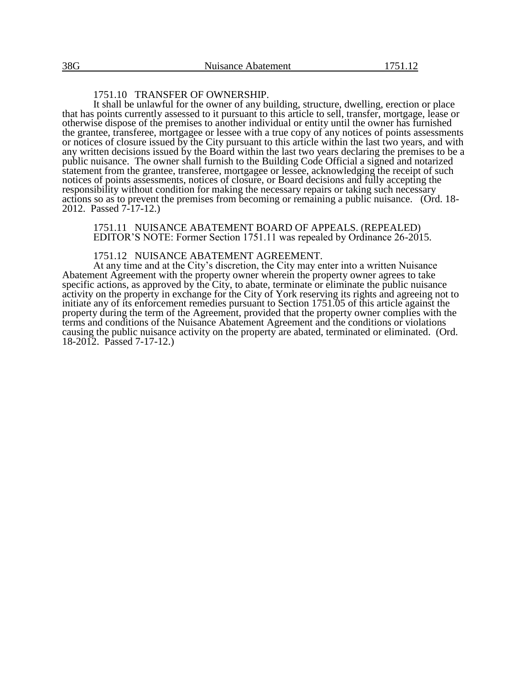## 1751.10 TRANSFER OF OWNERSHIP.

It shall be unlawful for the owner of any building, structure, dwelling, erection or place that has points currently assessed to it pursuant to this article to sell, transfer, mortgage, lease or otherwise dispose of the premises to another individual or entity until the owner has furnished the grantee, transferee, mortgagee or lessee with a true copy of any notices of points assessments or notices of closure issued by the City pursuant to this article within the last two years, and with any written decisions issued by the Board within the last two years declaring the premises to be a public nuisance. The owner shall furnish to the Building Code Official a signed and notarized statement from the grantee, transferee, mortgagee or lessee, acknowledging the receipt of such notices of points assessments, notices of closure, or Board decisions and fully accepting the responsibility without condition for making the necessary repairs or taking such necessary actions so as to prevent the premises from becoming or remaining a public nuisance. (Ord. 18- 2012. Passed 7-17-12.)

1751.11 NUISANCE ABATEMENT BOARD OF APPEALS. (REPEALED) EDITOR'S NOTE: Former Section 1751.11 was repealed by Ordinance 26-2015.

### 1751.12 NUISANCE ABATEMENT AGREEMENT.

At any time and at the City's discretion, the City may enter into a written Nuisance Abatement Agreement with the property owner wherein the property owner agrees to take specific actions, as approved by the City, to abate, terminate or eliminate the public nuisance activity on the property in exchange for the City of York reserving its rights and agreeing not to initiate any of its enforcement remedies pursuant to Section 1751.05 of this article against the property during the term of the Agreement, provided that the property owner complies with the terms and conditions of the Nuisance Abatement Agreement and the conditions or violations causing the public nuisance activity on the property are abated, terminated or eliminated. (Ord. 18-2012. Passed 7-17-12.)